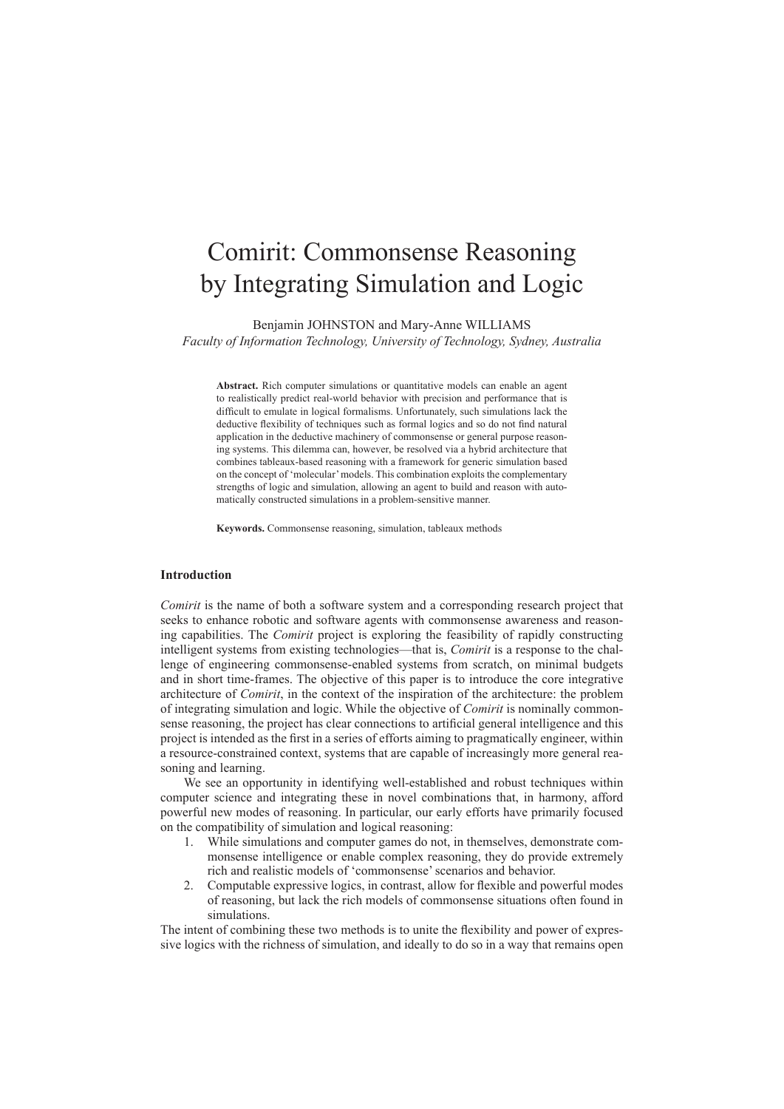# Comirit: Commonsense Reasoning by Integrating Simulation and Logic

Benjamin JOHNSTON and Mary-Anne WILLIAMS

*Faculty of Information Technology, University of Technology, Sydney, Australia*

**Abstract.** Rich computer simulations or quantitative models can enable an agent to realistically predict real-world behavior with precision and performance that is difficult to emulate in logical formalisms. Unfortunately, such simulations lack the deductive flexibility of techniques such as formal logics and so do not find natural application in the deductive machinery of commonsense or general purpose reasoning systems. This dilemma can, however, be resolved via a hybrid architecture that combines tableaux-based reasoning with a framework for generic simulation based on the concept of 'molecular' models. This combination exploits the complementary strengths of logic and simulation, allowing an agent to build and reason with automatically constructed simulations in a problem-sensitive manner.

**Keywords.** Commonsense reasoning, simulation, tableaux methods

#### **Introduction**

*Comirit* is the name of both a software system and a corresponding research project that seeks to enhance robotic and software agents with commonsense awareness and reasoning capabilities. The *Comirit* project is exploring the feasibility of rapidly constructing intelligent systems from existing technologies—that is, *Comirit* is a response to the challenge of engineering commonsense-enabled systems from scratch, on minimal budgets and in short time-frames. The objective of this paper is to introduce the core integrative architecture of *Comirit*, in the context of the inspiration of the architecture: the problem of integrating simulation and logic. While the objective of *Comirit* is nominally commonsense reasoning, the project has clear connections to artificial general intelligence and this project is intended as the first in a series of efforts aiming to pragmatically engineer, within a resource-constrained context, systems that are capable of increasingly more general reasoning and learning.

We see an opportunity in identifying well-established and robust techniques within computer science and integrating these in novel combinations that, in harmony, afford powerful new modes of reasoning. In particular, our early efforts have primarily focused on the compatibility of simulation and logical reasoning:

- 1. While simulations and computer games do not, in themselves, demonstrate commonsense intelligence or enable complex reasoning, they do provide extremely rich and realistic models of 'commonsense' scenarios and behavior.
- 2. Computable expressive logics, in contrast, allow for flexible and powerful modes of reasoning, but lack the rich models of commonsense situations often found in simulations.

The intent of combining these two methods is to unite the flexibility and power of expressive logics with the richness of simulation, and ideally to do so in a way that remains open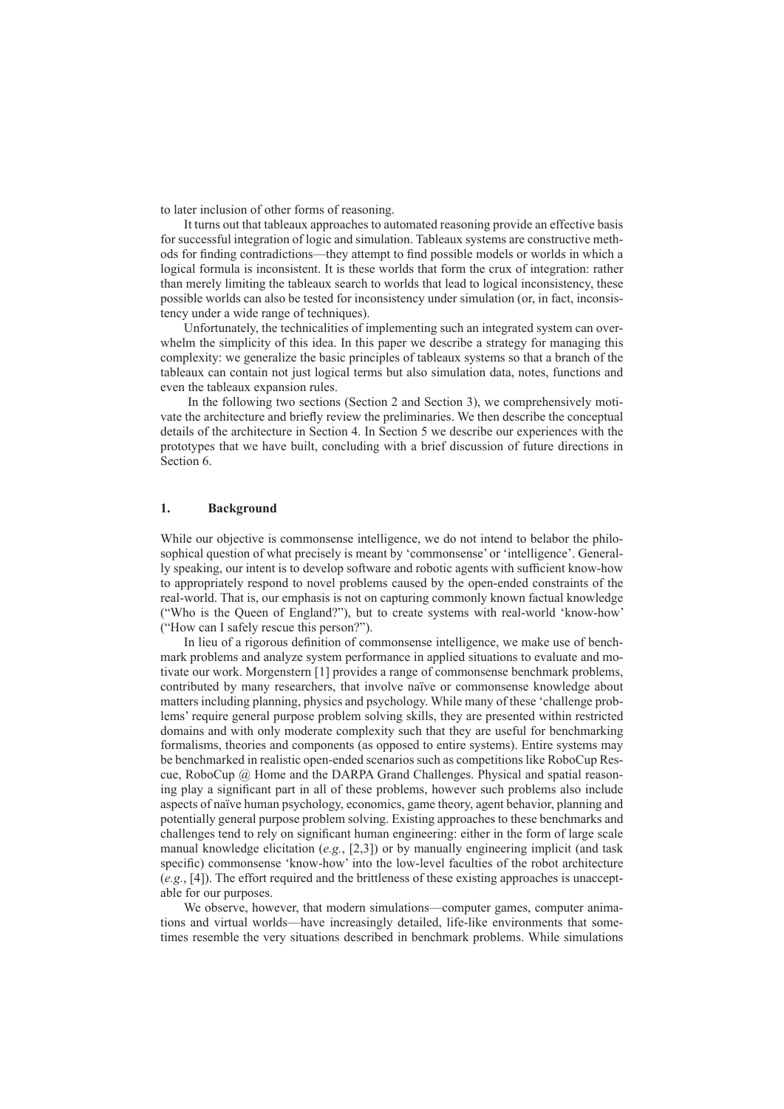to later inclusion of other forms of reasoning.

It turns out that tableaux approaches to automated reasoning provide an effective basis for successful integration of logic and simulation. Tableaux systems are constructive methods for finding contradictions—they attempt to find possible models or worlds in which a logical formula is inconsistent. It is these worlds that form the crux of integration: rather than merely limiting the tableaux search to worlds that lead to logical inconsistency, these possible worlds can also be tested for inconsistency under simulation (or, in fact, inconsistency under a wide range of techniques).

Unfortunately, the technicalities of implementing such an integrated system can overwhelm the simplicity of this idea. In this paper we describe a strategy for managing this complexity: we generalize the basic principles of tableaux systems so that a branch of the tableaux can contain not just logical terms but also simulation data, notes, functions and even the tableaux expansion rules.

 In the following two sections (Section 2 and Section 3), we comprehensively motivate the architecture and briefly review the preliminaries. We then describe the conceptual details of the architecture in Section 4. In Section 5 we describe our experiences with the prototypes that we have built, concluding with a brief discussion of future directions in Section 6.

## **1. Background**

While our objective is commonsense intelligence, we do not intend to belabor the philosophical question of what precisely is meant by 'commonsense' or 'intelligence'. Generally speaking, our intent is to develop software and robotic agents with sufficient know-how to appropriately respond to novel problems caused by the open-ended constraints of the real-world. That is, our emphasis is not on capturing commonly known factual knowledge ("Who is the Queen of England?"), but to create systems with real-world 'know-how' ("How can I safely rescue this person?").

In lieu of a rigorous definition of commonsense intelligence, we make use of benchmark problems and analyze system performance in applied situations to evaluate and motivate our work. Morgenstern [1] provides a range of commonsense benchmark problems, contributed by many researchers, that involve naïve or commonsense knowledge about matters including planning, physics and psychology. While many of these 'challenge problems' require general purpose problem solving skills, they are presented within restricted domains and with only moderate complexity such that they are useful for benchmarking formalisms, theories and components (as opposed to entire systems). Entire systems may be benchmarked in realistic open-ended scenarios such as competitions like RoboCup Rescue, RoboCup @ Home and the DARPA Grand Challenges. Physical and spatial reasoning play a significant part in all of these problems, however such problems also include aspects of naïve human psychology, economics, game theory, agent behavior, planning and potentially general purpose problem solving. Existing approaches to these benchmarks and challenges tend to rely on significant human engineering: either in the form of large scale manual knowledge elicitation (*e.g.*, [2,3]) or by manually engineering implicit (and task specific) commonsense 'know-how' into the low-level faculties of the robot architecture (*e.g.*, [4]). The effort required and the brittleness of these existing approaches is unacceptable for our purposes.

We observe, however, that modern simulations—computer games, computer animations and virtual worlds—have increasingly detailed, life-like environments that sometimes resemble the very situations described in benchmark problems. While simulations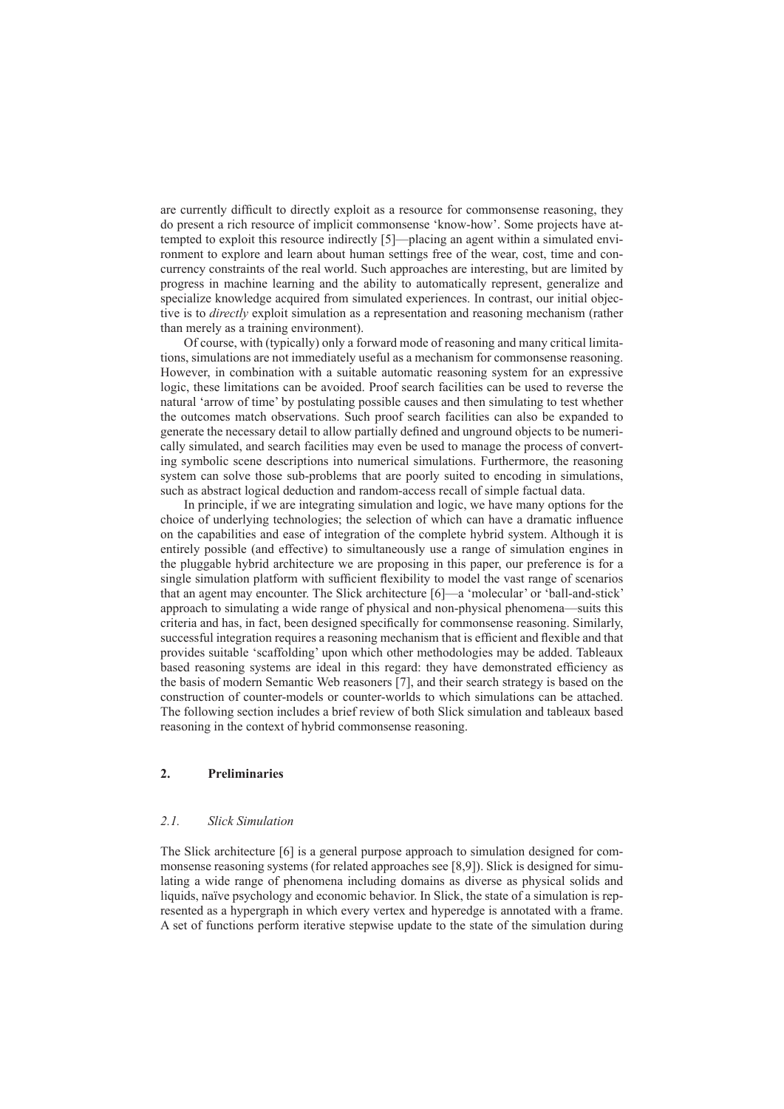are currently difficult to directly exploit as a resource for commonsense reasoning, they do present a rich resource of implicit commonsense 'know-how'. Some projects have attempted to exploit this resource indirectly [5]—placing an agent within a simulated environment to explore and learn about human settings free of the wear, cost, time and concurrency constraints of the real world. Such approaches are interesting, but are limited by progress in machine learning and the ability to automatically represent, generalize and specialize knowledge acquired from simulated experiences. In contrast, our initial objective is to *directly* exploit simulation as a representation and reasoning mechanism (rather than merely as a training environment).

Of course, with (typically) only a forward mode of reasoning and many critical limitations, simulations are not immediately useful as a mechanism for commonsense reasoning. However, in combination with a suitable automatic reasoning system for an expressive logic, these limitations can be avoided. Proof search facilities can be used to reverse the natural 'arrow of time' by postulating possible causes and then simulating to test whether the outcomes match observations. Such proof search facilities can also be expanded to generate the necessary detail to allow partially defined and unground objects to be numerically simulated, and search facilities may even be used to manage the process of converting symbolic scene descriptions into numerical simulations. Furthermore, the reasoning system can solve those sub-problems that are poorly suited to encoding in simulations, such as abstract logical deduction and random-access recall of simple factual data.

In principle, if we are integrating simulation and logic, we have many options for the choice of underlying technologies; the selection of which can have a dramatic influence on the capabilities and ease of integration of the complete hybrid system. Although it is entirely possible (and effective) to simultaneously use a range of simulation engines in the pluggable hybrid architecture we are proposing in this paper, our preference is for a single simulation platform with sufficient flexibility to model the vast range of scenarios that an agent may encounter. The Slick architecture [6]—a 'molecular' or 'ball-and-stick' approach to simulating a wide range of physical and non-physical phenomena—suits this criteria and has, in fact, been designed specifically for commonsense reasoning. Similarly, successful integration requires a reasoning mechanism that is efficient and flexible and that provides suitable 'scaffolding' upon which other methodologies may be added. Tableaux based reasoning systems are ideal in this regard: they have demonstrated efficiency as the basis of modern Semantic Web reasoners [7], and their search strategy is based on the construction of counter-models or counter-worlds to which simulations can be attached. The following section includes a brief review of both Slick simulation and tableaux based reasoning in the context of hybrid commonsense reasoning.

# **2. Preliminaries**

#### *2.1. Slick Simulation*

The Slick architecture [6] is a general purpose approach to simulation designed for commonsense reasoning systems (for related approaches see [8,9]). Slick is designed for simulating a wide range of phenomena including domains as diverse as physical solids and liquids, naïve psychology and economic behavior. In Slick, the state of a simulation is represented as a hypergraph in which every vertex and hyperedge is annotated with a frame. A set of functions perform iterative stepwise update to the state of the simulation during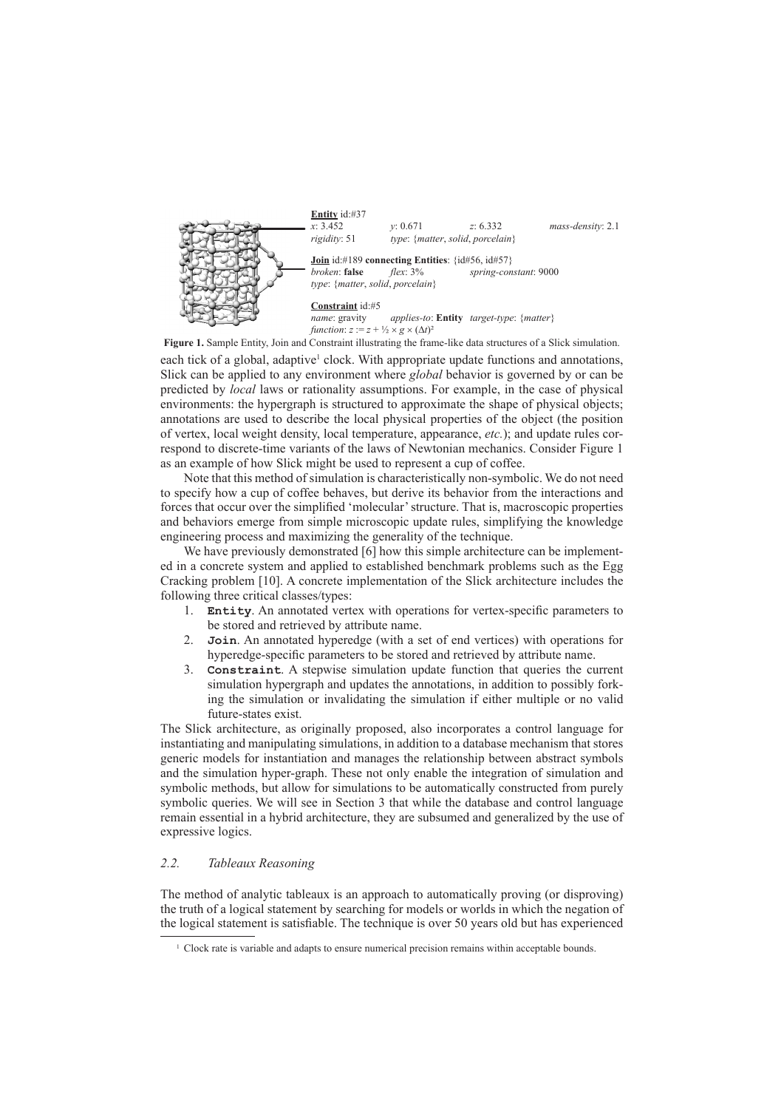

each tick of a global, adaptive<sup>1</sup> clock. With appropriate update functions and annotations, Slick can be applied to any environment where *global* behavior is governed by or can be predicted by *local* laws or rationality assumptions. For example, in the case of physical environments: the hypergraph is structured to approximate the shape of physical objects; annotations are used to describe the local physical properties of the object (the position of vertex, local weight density, local temperature, appearance, *etc.*); and update rules correspond to discrete-time variants of the laws of Newtonian mechanics. Consider Figure 1 as an example of how Slick might be used to represent a cup of coffee. **Figure 1.** Sample Entity, Join and Constraint illustrating the frame-like data structures of a Slick simulation.

Note that this method of simulation is characteristically non-symbolic. We do not need to specify how a cup of coffee behaves, but derive its behavior from the interactions and forces that occur over the simplified 'molecular' structure. That is, macroscopic properties and behaviors emerge from simple microscopic update rules, simplifying the knowledge engineering process and maximizing the generality of the technique.

We have previously demonstrated [6] how this simple architecture can be implemented in a concrete system and applied to established benchmark problems such as the Egg Cracking problem [10]. A concrete implementation of the Slick architecture includes the following three critical classes/types:

- 1. **Entity**. An annotated vertex with operations for vertex-specific parameters to be stored and retrieved by attribute name.
- 2. **Join**. An annotated hyperedge (with a set of end vertices) with operations for hyperedge-specific parameters to be stored and retrieved by attribute name.
- 3. **Constraint**. A stepwise simulation update function that queries the current simulation hypergraph and updates the annotations, in addition to possibly forking the simulation or invalidating the simulation if either multiple or no valid future-states exist.

The Slick architecture, as originally proposed, also incorporates a control language for instantiating and manipulating simulations, in addition to a database mechanism that stores generic models for instantiation and manages the relationship between abstract symbols and the simulation hyper-graph. These not only enable the integration of simulation and symbolic methods, but allow for simulations to be automatically constructed from purely symbolic queries. We will see in Section 3 that while the database and control language remain essential in a hybrid architecture, they are subsumed and generalized by the use of expressive logics.

## *2.2. Tableaux Reasoning*

The method of analytic tableaux is an approach to automatically proving (or disproving) the truth of a logical statement by searching for models or worlds in which the negation of the logical statement is satisfiable. The technique is over 50 years old but has experienced

<sup>&</sup>lt;sup>1</sup> Clock rate is variable and adapts to ensure numerical precision remains within acceptable bounds.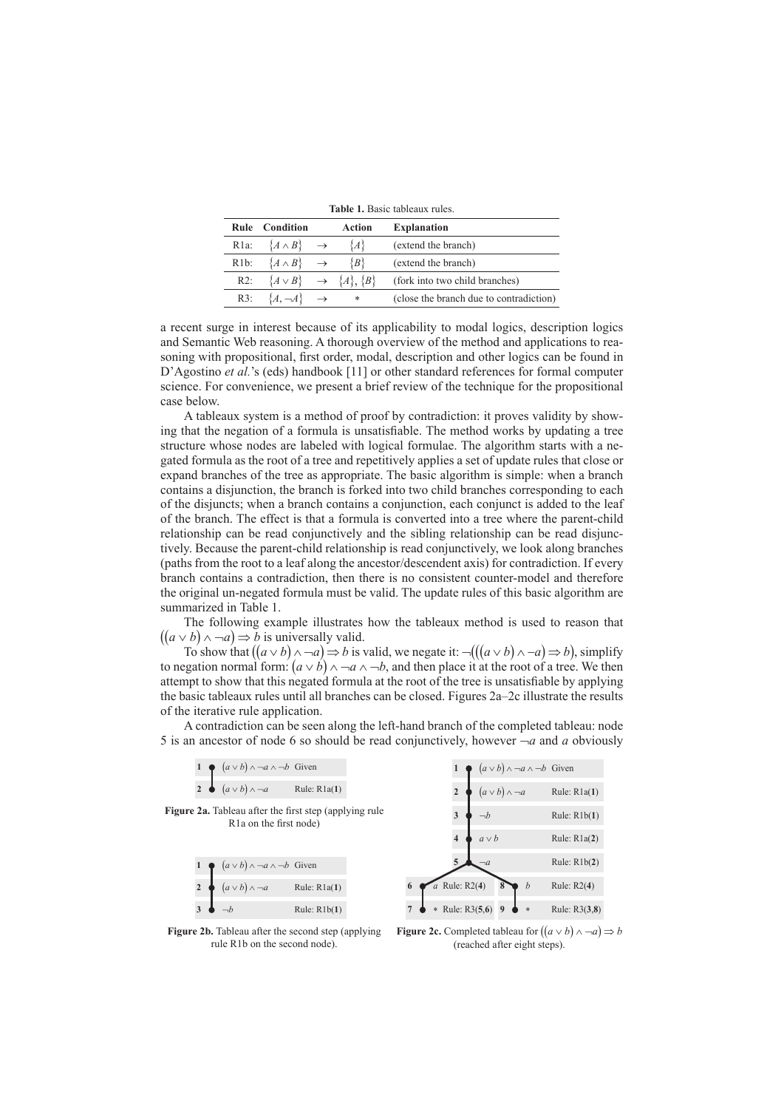|         |                                         |               |        | TUNIV II DUGIV MOIVUUA TUIVO.           |
|---------|-----------------------------------------|---------------|--------|-----------------------------------------|
|         | <b>Rule</b> Condition                   |               | Action | <b>Explanation</b>                      |
| $R1a$ : | $\{A \wedge B\}$                        | $\rightarrow$ | {A}    | (extend the branch)                     |
| $R1b$ : | $\{A \wedge B\}$                        | $\rightarrow$ | \B\    | (extend the branch)                     |
| $R2$ :  | $\{A \vee B\} \rightarrow \{A\}, \{B\}$ |               |        | (fork into two child branches)          |
| $R3$ :  | ${A, \neg A}$                           | $\rightarrow$ | *      | (close the branch due to contradiction) |

**Table 1.** Basic tableaux rules.

a recent surge in interest because of its applicability to modal logics, description logics and Semantic Web reasoning. A thorough overview of the method and applications to reasoning with propositional, first order, modal, description and other logics can be found in D'Agostino *et al.*'s (eds) handbook [11] or other standard references for formal computer science. For convenience, we present a brief review of the technique for the propositional case below.

A tableaux system is a method of proof by contradiction: it proves validity by showing that the negation of a formula is unsatisfiable. The method works by updating a tree structure whose nodes are labeled with logical formulae. The algorithm starts with a negated formula as the root of a tree and repetitively applies a set of update rules that close or expand branches of the tree as appropriate. The basic algorithm is simple: when a branch contains a disjunction, the branch is forked into two child branches corresponding to each of the disjuncts; when a branch contains a conjunction, each conjunct is added to the leaf of the branch. The effect is that a formula is converted into a tree where the parent-child relationship can be read conjunctively and the sibling relationship can be read disjunctively. Because the parent-child relationship is read conjunctively, we look along branches (paths from the root to a leaf along the ancestor/descendent axis) for contradiction. If every branch contains a contradiction, then there is no consistent counter-model and therefore the original un-negated formula must be valid. The update rules of this basic algorithm are summarized in Table 1.

The following example illustrates how the tableaux method is used to reason that  $((a \lor b) \land \neg a) \Rightarrow b$  is universally valid.

To show that  $((a \vee b) \wedge \neg a) \Rightarrow b$  is valid, we negate it:  $\neg((a \vee b) \wedge \neg a) \Rightarrow b$ ), simplify to negation normal form:  $(a \vee b) \wedge \neg a \wedge \neg b$ , and then place it at the root of a tree. We then attempt to show that this negated formula at the root of the tree is unsatisfiable by applying the basic tableaux rules until all branches can be closed. Figures 2a–2c illustrate the results of the iterative rule application.

A contradiction can be seen along the left-hand branch of the completed tableau: node 5 is an ancestor of node 6 so should be read conjunctively, however  $-a$  and *a* obviously

|                |                            | $(a \vee b) \wedge \neg a \wedge \neg b$ Given |                                                               |  |  |                         |            |                            | $(a \vee b) \wedge \neg a \wedge \neg b$ Given |                |  |
|----------------|----------------------------|------------------------------------------------|---------------------------------------------------------------|--|--|-------------------------|------------|----------------------------|------------------------------------------------|----------------|--|
| $\overline{2}$ | $(a \vee b) \wedge \neg a$ |                                                | Rule: $R1a(1)$                                                |  |  |                         |            | $(a \vee b) \wedge \neg a$ |                                                | Rule: $R1a(1)$ |  |
|                |                            | R <sub>1</sub> a on the first node)            | <b>Figure 2a.</b> Tableau after the first step (applying rule |  |  | 3                       | $\neg b$   |                            |                                                | Rule: $R1b(1)$ |  |
|                |                            |                                                |                                                               |  |  | $\overline{\mathbf{4}}$ | $a \vee b$ |                            |                                                | Rule: $R1a(2)$ |  |
|                |                            | $(a \vee b) \wedge \neg a \wedge \neg b$ Given |                                                               |  |  |                         | $\neg a$   |                            |                                                | Rule: $R1b(2)$ |  |
|                | $(a \vee b) \wedge \neg a$ |                                                | Rule: $R1a(1)$                                                |  |  | $a$ Rule: R2(4)         |            |                            | b                                              | Rule: $R2(4)$  |  |
| 3              |                            |                                                | Rule: $R1b(1)$                                                |  |  | * Rule: $R3(5,6)$       |            |                            | $*$                                            | Rule: R3(3,8)  |  |
|                |                            |                                                |                                                               |  |  |                         |            |                            |                                                |                |  |

**Figure 2b.** Tableau after the second step (applying rule R1b on the second node).

**Figure 2c.** Completed tableau for  $((a \lor b) \land \neg a) \Rightarrow b$ (reached after eight steps).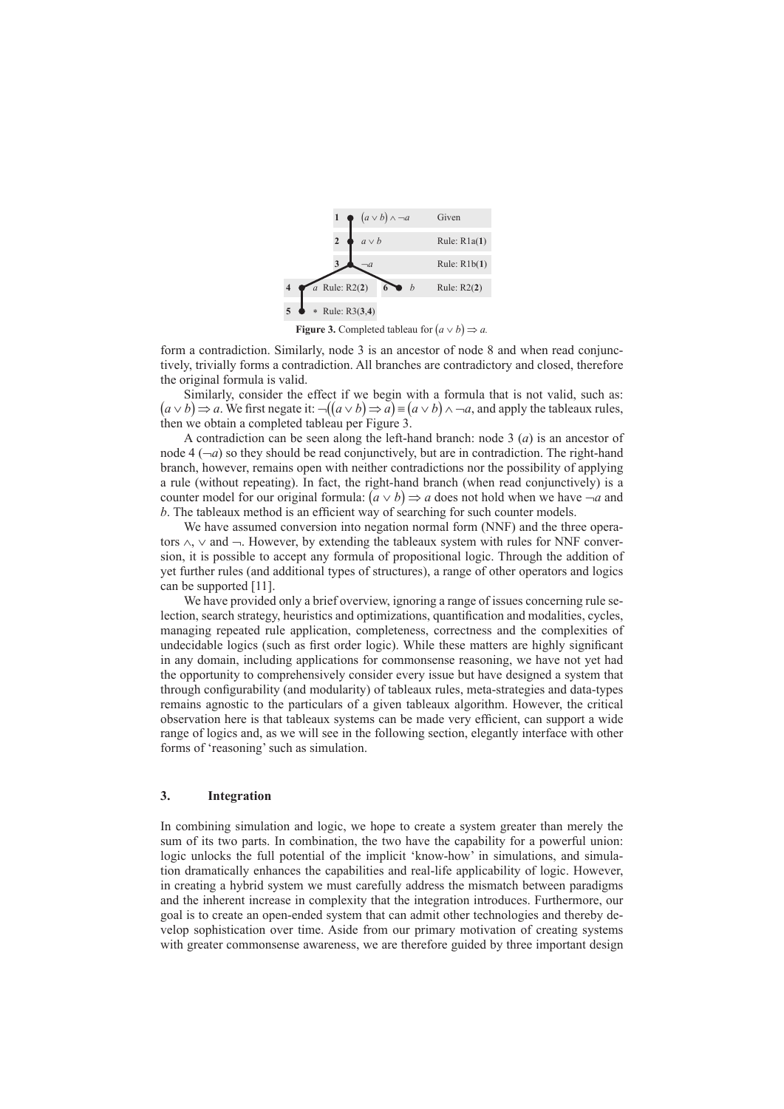

**Figure 3.** Completed tableau for  $(a \vee b) \Rightarrow a$ .

form a contradiction. Similarly, node 3 is an ancestor of node 8 and when read conjunctively, trivially forms a contradiction. All branches are contradictory and closed, therefore the original formula is valid.

Similarly, consider the effect if we begin with a formula that is not valid, such as:  $(a \vee b) \Rightarrow a$ . We first negate it:  $\neg((a \vee b) \Rightarrow a) \equiv (a \vee b) \land \neg a$ , and apply the tableaux rules, then we obtain a completed tableau per Figure 3.

A contradiction can be seen along the left-hand branch: node 3 (*a*) is an ancestor of node  $4(-a)$  so they should be read conjunctively, but are in contradiction. The right-hand branch, however, remains open with neither contradictions nor the possibility of applying a rule (without repeating). In fact, the right-hand branch (when read conjunctively) is a counter model for our original formula:  $(a \vee b) \Rightarrow a$  does not hold when we have  $\neg a$  and *b*. The tableaux method is an efficient way of searching for such counter models.

We have assumed conversion into negation normal form (NNF) and the three operators ∧, ∨ and ¬. However, by extending the tableaux system with rules for NNF conversion, it is possible to accept any formula of propositional logic. Through the addition of yet further rules (and additional types of structures), a range of other operators and logics can be supported [11].

We have provided only a brief overview, ignoring a range of issues concerning rule selection, search strategy, heuristics and optimizations, quantification and modalities, cycles, managing repeated rule application, completeness, correctness and the complexities of undecidable logics (such as first order logic). While these matters are highly significant in any domain, including applications for commonsense reasoning, we have not yet had the opportunity to comprehensively consider every issue but have designed a system that through configurability (and modularity) of tableaux rules, meta-strategies and data-types remains agnostic to the particulars of a given tableaux algorithm. However, the critical observation here is that tableaux systems can be made very efficient, can support a wide range of logics and, as we will see in the following section, elegantly interface with other forms of 'reasoning' such as simulation.

#### **3. Integration**

In combining simulation and logic, we hope to create a system greater than merely the sum of its two parts. In combination, the two have the capability for a powerful union: logic unlocks the full potential of the implicit 'know-how' in simulations, and simulation dramatically enhances the capabilities and real-life applicability of logic. However, in creating a hybrid system we must carefully address the mismatch between paradigms and the inherent increase in complexity that the integration introduces. Furthermore, our goal is to create an open-ended system that can admit other technologies and thereby develop sophistication over time. Aside from our primary motivation of creating systems with greater commonsense awareness, we are therefore guided by three important design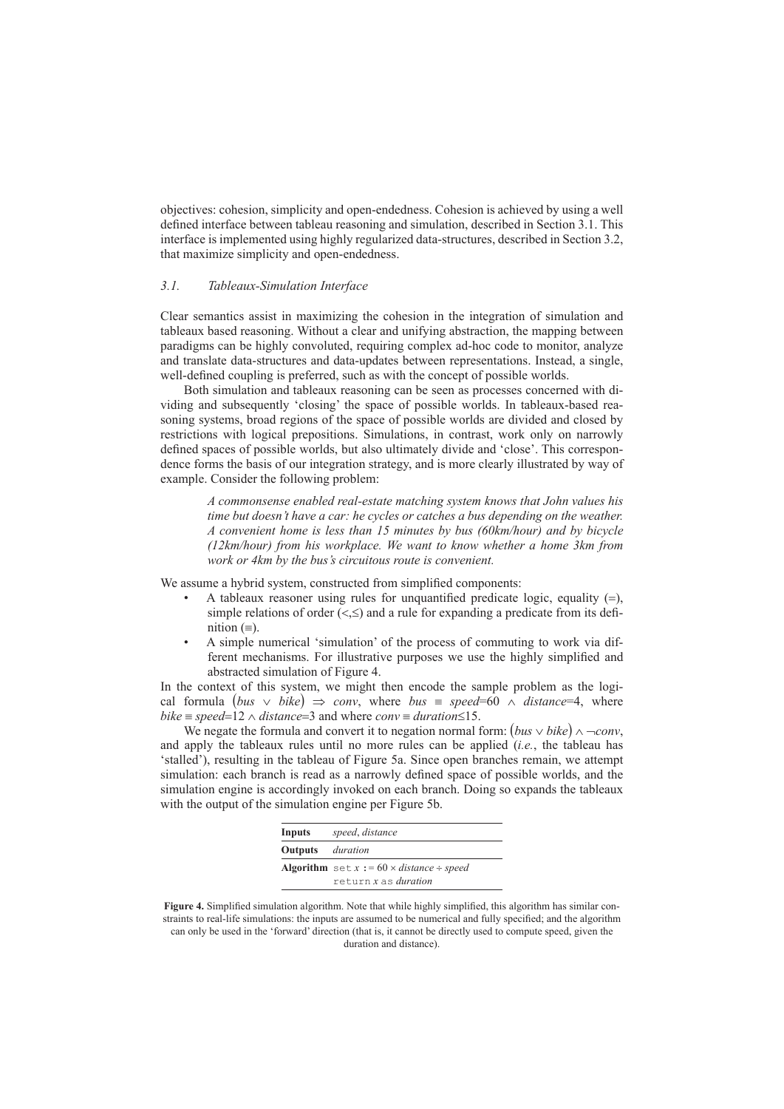objectives: cohesion, simplicity and open-endedness. Cohesion is achieved by using a well defined interface between tableau reasoning and simulation, described in Section 3.1. This interface is implemented using highly regularized data-structures, described in Section 3.2, that maximize simplicity and open-endedness.

## *3.1. Tableaux-Simulation Interface*

Clear semantics assist in maximizing the cohesion in the integration of simulation and tableaux based reasoning. Without a clear and unifying abstraction, the mapping between paradigms can be highly convoluted, requiring complex ad-hoc code to monitor, analyze and translate data-structures and data-updates between representations. Instead, a single, well-defined coupling is preferred, such as with the concept of possible worlds.

Both simulation and tableaux reasoning can be seen as processes concerned with dividing and subsequently 'closing' the space of possible worlds. In tableaux-based reasoning systems, broad regions of the space of possible worlds are divided and closed by restrictions with logical prepositions. Simulations, in contrast, work only on narrowly defined spaces of possible worlds, but also ultimately divide and 'close'. This correspondence forms the basis of our integration strategy, and is more clearly illustrated by way of example. Consider the following problem:

> *A commonsense enabled real-estate matching system knows that John values his time but doesn't have a car: he cycles or catches a bus depending on the weather. A convenient home is less than 15 minutes by bus (60km/hour) and by bicycle (12km/hour) from his workplace. We want to know whether a home 3km from work or 4km by the bus's circuitous route is convenient.*

We assume a hybrid system, constructed from simplified components:

- A tableaux reasoner using rules for unquantified predicate logic, equality  $(=)$ , simple relations of order  $\left\langle \leq,\leq\right\rangle$  and a rule for expanding a predicate from its definition  $(≡)$ .
- A simple numerical 'simulation' of the process of commuting to work via different mechanisms. For illustrative purposes we use the highly simplified and abstracted simulation of Figure 4.

In the context of this system, we might then encode the sample problem as the logical formula  $(bus \lor bike) \Rightarrow conv$ , where *bus* = *speed*=60  $\land$  *distance*=4, where *bike* = *speed*=12  $\land$  *distance*=3 and where *conv* = *duration* ≤15.

We negate the formula and convert it to negation normal form:  $(bus \vee bike) \wedge \neg conv,$ and apply the tableaux rules until no more rules can be applied (*i.e.*, the tableau has 'stalled'), resulting in the tableau of Figure 5a. Since open branches remain, we attempt simulation: each branch is read as a narrowly defined space of possible worlds, and the simulation engine is accordingly invoked on each branch. Doing so expands the tableaux with the output of the simulation engine per Figure 5b.

| Inputs                         | speed, distance                                           |  |  |  |  |  |  |
|--------------------------------|-----------------------------------------------------------|--|--|--|--|--|--|
| <b>Outputs</b> <i>duration</i> |                                                           |  |  |  |  |  |  |
|                                | <b>Algorithm</b> set $x := 60 \times distance \div speed$ |  |  |  |  |  |  |
|                                | return x as duration                                      |  |  |  |  |  |  |

**Figure 4.** Simplified simulation algorithm. Note that while highly simplified, this algorithm has similar constraints to real-life simulations: the inputs are assumed to be numerical and fully specified; and the algorithm can only be used in the 'forward' direction (that is, it cannot be directly used to compute speed, given the duration and distance).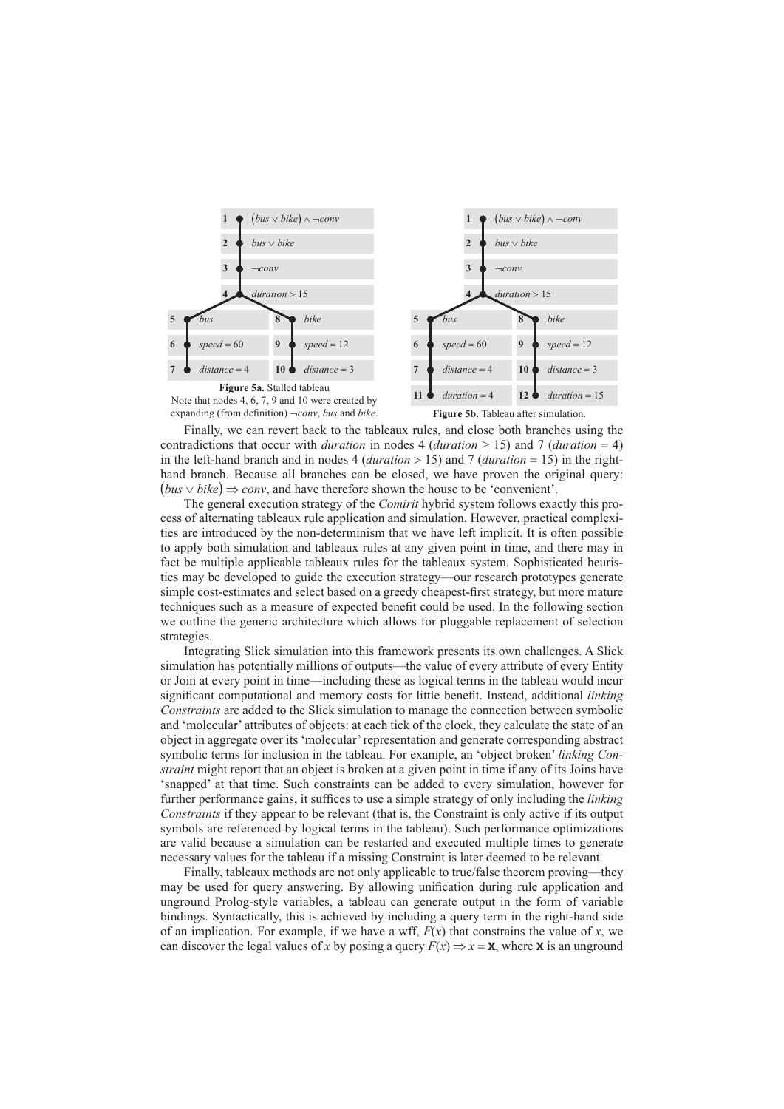

Finally, we can revert back to the tableaux rules, and close both branches using the contradictions that occur with *duration* in nodes 4 (*duration* > 15) and 7 (*duration* = 4) in the left-hand branch and in nodes 4 (*duration* > 15) and 7 (*duration* = 15) in the righthand branch. Because all branches can be closed, we have proven the original query: (*bus* ∨ *bike*) ⇒ *conv*, and have therefore shown the house to be 'convenient'.

The general execution strategy of the *Comirit* hybrid system follows exactly this process of alternating tableaux rule application and simulation. However, practical complexities are introduced by the non-determinism that we have left implicit. It is often possible to apply both simulation and tableaux rules at any given point in time, and there may in fact be multiple applicable tableaux rules for the tableaux system. Sophisticated heuristics may be developed to guide the execution strategy—our research prototypes generate simple cost-estimates and select based on a greedy cheapest-first strategy, but more mature techniques such as a measure of expected benefit could be used. In the following section we outline the generic architecture which allows for pluggable replacement of selection strategies.

Integrating Slick simulation into this framework presents its own challenges. A Slick simulation has potentially millions of outputs—the value of every attribute of every Entity or Join at every point in time—including these as logical terms in the tableau would incur significant computational and memory costs for little benefit. Instead, additional *linking Constraints* are added to the Slick simulation to manage the connection between symbolic and 'molecular' attributes of objects: at each tick of the clock, they calculate the state of an object in aggregate over its 'molecular' representation and generate corresponding abstract symbolic terms for inclusion in the tableau. For example, an 'object broken' *linking Constraint* might report that an object is broken at a given point in time if any of its Joins have 'snapped' at that time. Such constraints can be added to every simulation, however for further performance gains, it suffices to use a simple strategy of only including the *linking Constraints* if they appear to be relevant (that is, the Constraint is only active if its output symbols are referenced by logical terms in the tableau). Such performance optimizations are valid because a simulation can be restarted and executed multiple times to generate necessary values for the tableau if a missing Constraint is later deemed to be relevant.

Finally, tableaux methods are not only applicable to true/false theorem proving—they may be used for query answering. By allowing unification during rule application and unground Prolog-style variables, a tableau can generate output in the form of variable bindings. Syntactically, this is achieved by including a query term in the right-hand side of an implication. For example, if we have a wff,  $F(x)$  that constrains the value of x, we can discover the legal values of *x* by posing a query  $F(x) \Rightarrow x = \mathbf{X}$ , where **x** is an unground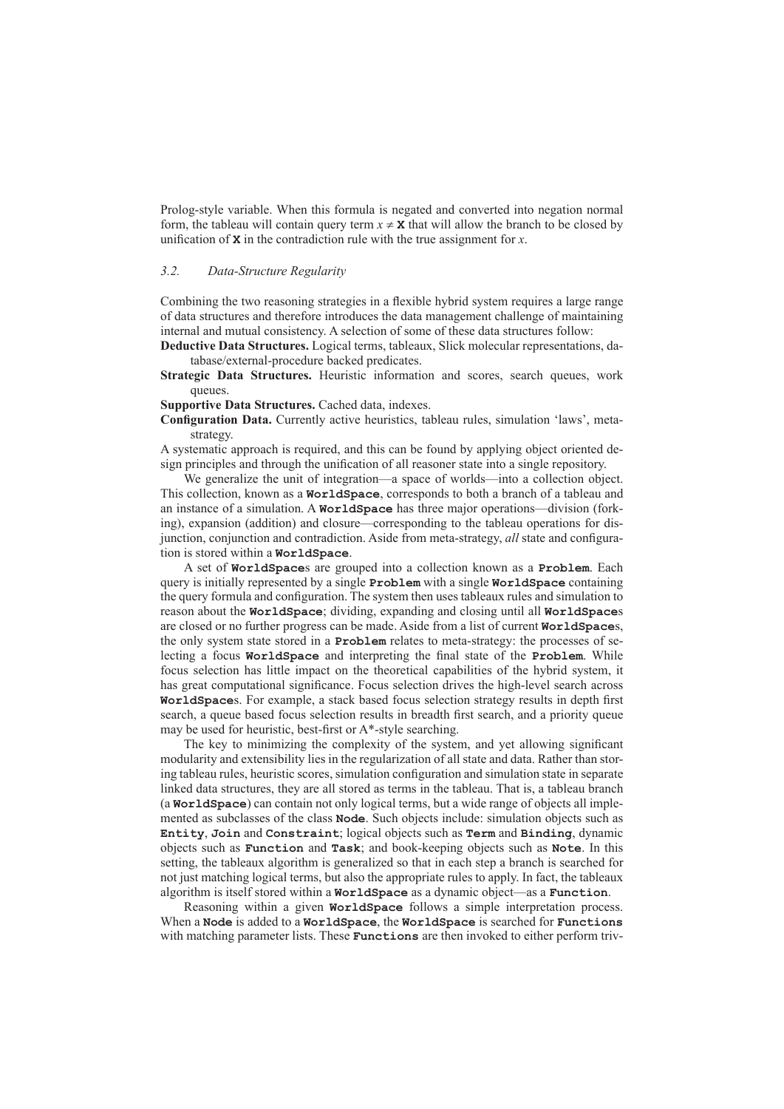Prolog-style variable. When this formula is negated and converted into negation normal form, the tableau will contain query term  $x \neq x$  that will allow the branch to be closed by unification of **X** in the contradiction rule with the true assignment for *x*.

# *3.2. Data-Structure Regularity*

Combining the two reasoning strategies in a flexible hybrid system requires a large range of data structures and therefore introduces the data management challenge of maintaining internal and mutual consistency. A selection of some of these data structures follow:

**Deductive Data Structures.** Logical terms, tableaux, Slick molecular representations, database/external-procedure backed predicates.

**Strategic Data Structures.** Heuristic information and scores, search queues, work queues.

**Supportive Data Structures.** Cached data, indexes.

**Configuration Data.** Currently active heuristics, tableau rules, simulation 'laws', metastrategy.

A systematic approach is required, and this can be found by applying object oriented design principles and through the unification of all reasoner state into a single repository.

We generalize the unit of integration—a space of worlds—into a collection object. This collection, known as a **WorldSpace**, corresponds to both a branch of a tableau and an instance of a simulation. A **WorldSpace** has three major operations—division (forking), expansion (addition) and closure—corresponding to the tableau operations for disjunction, conjunction and contradiction. Aside from meta-strategy, *all* state and configuration is stored within a **WorldSpace**.

A set of **WorldSpace**s are grouped into a collection known as a **Problem**. Each query is initially represented by a single **Problem** with a single **WorldSpace** containing the query formula and configuration. The system then uses tableaux rules and simulation to reason about the **WorldSpace**; dividing, expanding and closing until all **WorldSpace**s are closed or no further progress can be made. Aside from a list of current **WorldSpace**s, the only system state stored in a **Problem** relates to meta-strategy: the processes of selecting a focus **WorldSpace** and interpreting the final state of the **Problem**. While focus selection has little impact on the theoretical capabilities of the hybrid system, it has great computational significance. Focus selection drives the high-level search across **WorldSpace**s. For example, a stack based focus selection strategy results in depth first search, a queue based focus selection results in breadth first search, and a priority queue may be used for heuristic, best-first or A\*-style searching.

The key to minimizing the complexity of the system, and yet allowing significant modularity and extensibility lies in the regularization of all state and data. Rather than storing tableau rules, heuristic scores, simulation configuration and simulation state in separate linked data structures, they are all stored as terms in the tableau. That is, a tableau branch (a **WorldSpace**) can contain not only logical terms, but a wide range of objects all implemented as subclasses of the class **Node**. Such objects include: simulation objects such as **Entity**, **Join** and **Constraint**; logical objects such as **Term** and **Binding**, dynamic objects such as **Function** and **Task**; and book-keeping objects such as **Note**. In this setting, the tableaux algorithm is generalized so that in each step a branch is searched for not just matching logical terms, but also the appropriate rules to apply. In fact, the tableaux algorithm is itself stored within a **WorldSpace** as a dynamic object—as a **Function**.

Reasoning within a given **WorldSpace** follows a simple interpretation process. When a **Node** is added to a **WorldSpace**, the **WorldSpace** is searched for **Functions** with matching parameter lists. These **Functions** are then invoked to either perform triv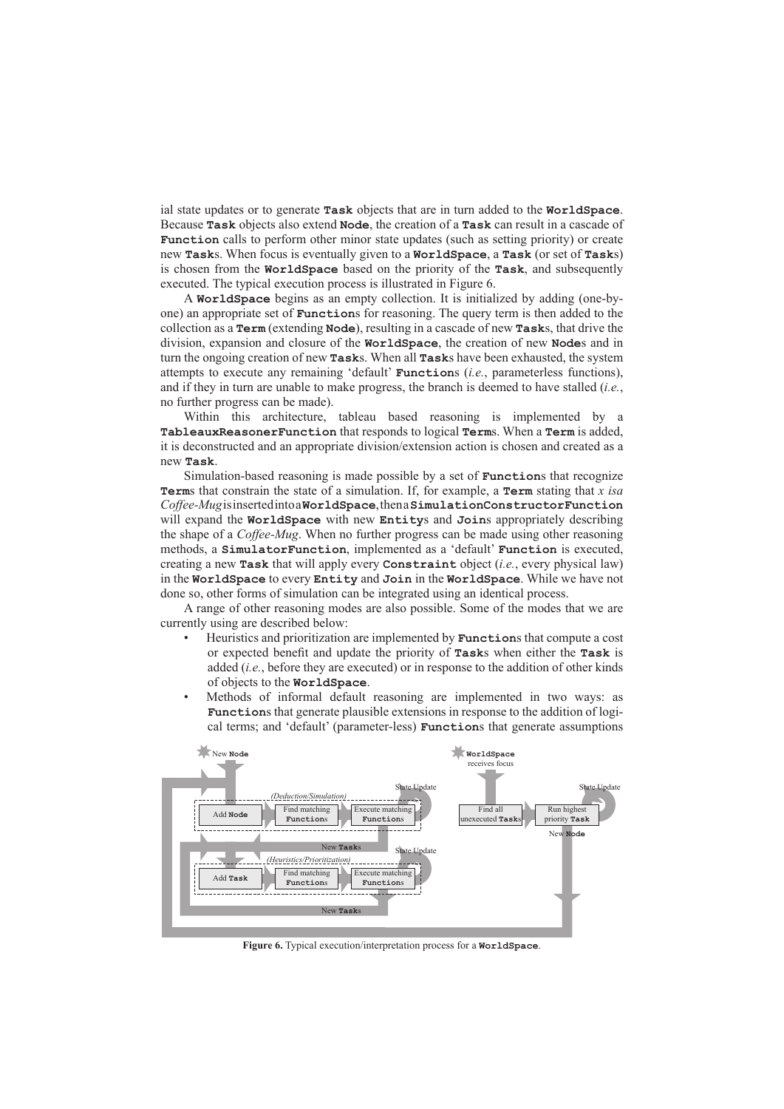ial state updates or to generate **Task** objects that are in turn added to the **WorldSpace**. Because **Task** objects also extend **Node**, the creation of a **Task** can result in a cascade of **Function** calls to perform other minor state updates (such as setting priority) or create new **Task**s. When focus is eventually given to a **WorldSpace**, a **Task** (or set of **Task**s) is chosen from the **WorldSpace** based on the priority of the **Task**, and subsequently executed. The typical execution process is illustrated in Figure 6.

A **WorldSpace** begins as an empty collection. It is initialized by adding (one-byone) an appropriate set of **Function**s for reasoning. The query term is then added to the collection as a **Term** (extending **Node**), resulting in a cascade of new **Task**s, that drive the division, expansion and closure of the **WorldSpace**, the creation of new **Node**s and in turn the ongoing creation of new **Task**s. When all **Task**s have been exhausted, the system attempts to execute any remaining 'default' **Function**s (*i.e.*, parameterless functions), and if they in turn are unable to make progress, the branch is deemed to have stalled (*i.e.*, no further progress can be made).

Within this architecture, tableau based reasoning is implemented by a **TableauxReasonerFunction** that responds to logical **Term**s. When a **Term** is added, it is deconstructed and an appropriate division/extension action is chosen and created as a new **Task**.

Simulation-based reasoning is made possible by a set of **Function**s that recognize **Term**s that constrain the state of a simulation. If, for example, a **Term** stating that *x isa Coffee-Mug* is inserted into a **WorldSpace**, then a **SimulationConstructorFunction** will expand the **WorldSpace** with new **Entity**s and **Join**s appropriately describing the shape of a *Coffee-Mug*. When no further progress can be made using other reasoning methods, a **SimulatorFunction**, implemented as a 'default' **Function** is executed, creating a new **Task** that will apply every **Constraint** object (*i.e.*, every physical law) in the **WorldSpace** to every **Entity** and **Join** in the **WorldSpace**. While we have not done so, other forms of simulation can be integrated using an identical process.

A range of other reasoning modes are also possible. Some of the modes that we are currently using are described below:

- Heuristics and prioritization are implemented by **Function**s that compute a cost or expected benefit and update the priority of **Task**s when either the **Task** is added (*i.e.*, before they are executed) or in response to the addition of other kinds of objects to the **WorldSpace**.
- Methods of informal default reasoning are implemented in two ways: as **Function**s that generate plausible extensions in response to the addition of logical terms; and 'default' (parameter-less) **Function**s that generate assumptions



**Figure 6.** Typical execution/interpretation process for a **WorldSpace**.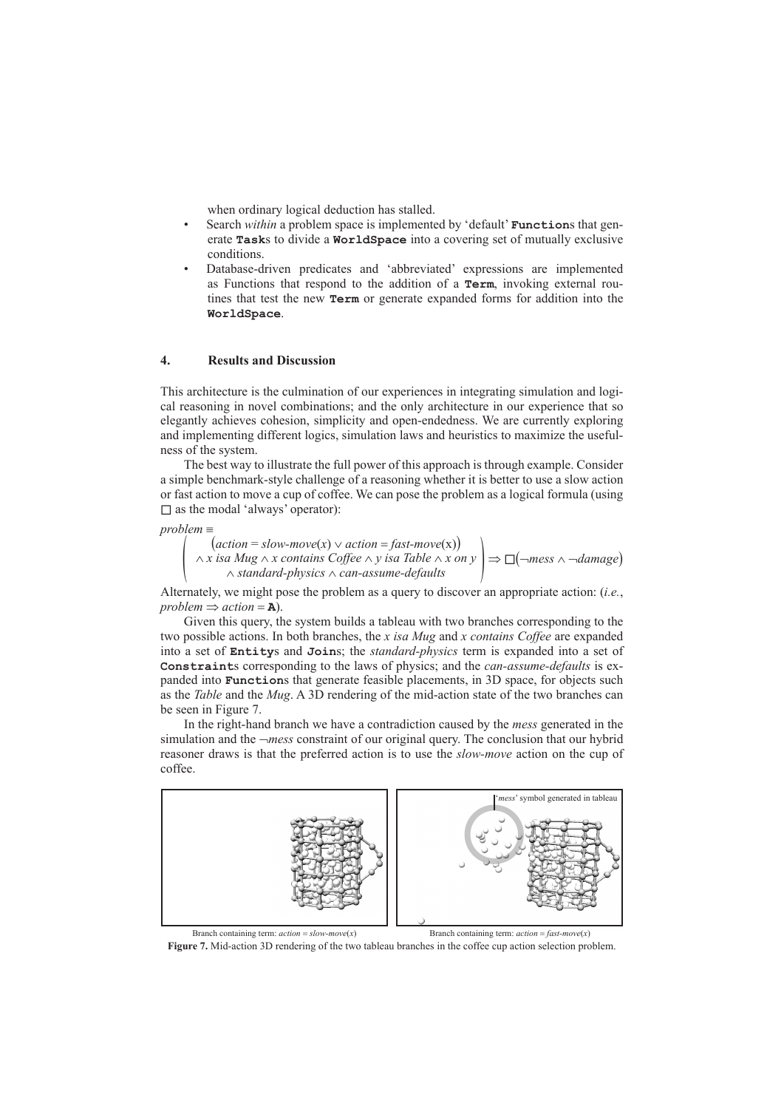when ordinary logical deduction has stalled.

- Search *within* a problem space is implemented by 'default' **Function**s that generate **Task**s to divide a **WorldSpace** into a covering set of mutually exclusive conditions.
- Database-driven predicates and 'abbreviated' expressions are implemented as Functions that respond to the addition of a **Term**, invoking external routines that test the new **Term** or generate expanded forms for addition into the **WorldSpace**.

## **4. Results and Discussion**

This architecture is the culmination of our experiences in integrating simulation and logical reasoning in novel combinations; and the only architecture in our experience that so elegantly achieves cohesion, simplicity and open-endedness. We are currently exploring and implementing different logics, simulation laws and heuristics to maximize the usefulness of the system.

The best way to illustrate the full power of this approach is through example. Consider a simple benchmark-style challenge of a reasoning whether it is better to use a slow action or fast action to move a cup of coffee. We can pose the problem as a logical formula (using □ as the modal 'always' operator):

 $problem \equiv$ <br> $\left( \begin{array}{c} \text{arbit} \\ \text{arbit} \end{array} \right)$   $action = fast-move(x)$  $\left(\begin{array}{c}\n \text{(action = slow-move(x)} \vee \text{ action = fast-move(x)} \\
\wedge x \text{ is a } Mug \wedge x \text{ contains } \text{Coffee} \wedge y \text{ is a } \text{Table } \wedge x \text{ on } y \\
\wedge \text{ standard-physics } \wedge \text{ can-assume-defaults}\n\end{array}\right) \Rightarrow \Box(\neg \text{mess } \wedge \neg \text{damage})$ 

Alternately, we might pose the problem as a query to discover an appropriate action: (*i.e.*, *problem*  $\Rightarrow$  *action* = **A**).

Given this query, the system builds a tableau with two branches corresponding to the two possible actions. In both branches, the *x isa Mug* and *x contains Coffee* are expanded into a set of **Entity**s and **Join**s; the *standard-physics* term is expanded into a set of **Constraint**s corresponding to the laws of physics; and the *can-assume-defaults* is expanded into **Function**s that generate feasible placements, in 3D space, for objects such as the *Table* and the *Mug*. A 3D rendering of the mid-action state of the two branches can be seen in Figure 7.

In the right-hand branch we have a contradiction caused by the *mess* generated in the simulation and the ¬*mess* constraint of our original query. The conclusion that our hybrid reasoner draws is that the preferred action is to use the *slow-move* action on the cup of coffee.



**Figure 7.** Mid-action 3D rendering of the two tableau branches in the coffee cup action selection problem.